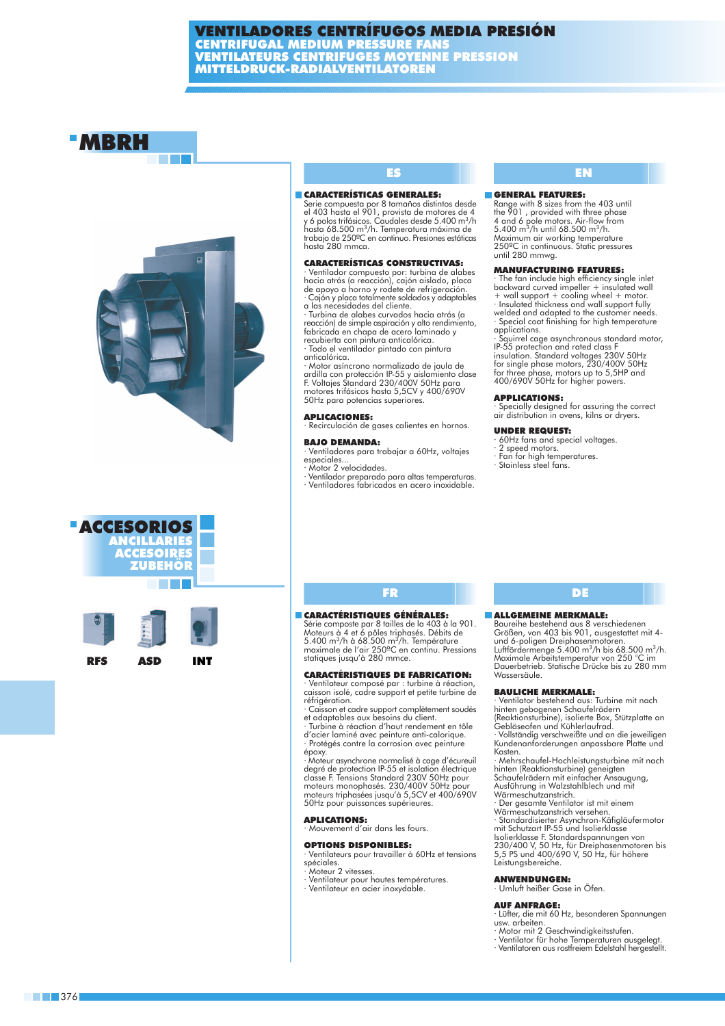# VENTILADORES CENTRÍFUGOS MEDIA PRESIÓN

CENTRIFUGAL MEDIUM PRESSURE FANS VENTILATEURS CENTRIFUGES MOYENNE PRESSION MITTELDRUCK-RADIALVENTILATOREN





# **CARACTERÍSTICAS GENERALES:**

Serie compuesta por 8 tamaños distintos desde el 403 hasta el 901, provista de motores de 4 y 6 polos trifásicos. Caudales desde 5.400 m<sup>3</sup> /h hasta 68.500 m<sup>3</sup> /h. Temperatura máxima de trabajo de 250ºC en continuo. Presiones estáticas hasta 280 mmca.

# CARACTERÍSTICAS CONSTRUCTIVAS:

· Ventilador compuesto por: turbina de alabes hacia atrás (a reacción), cajón aislado, placa de apoyo a horno y rodete de refrigeración. · Cajón y placa totalmente soldados y adaptables a las necesidades del cliente.

· Turbina de alabes curvados hacia atrás (a reacción) de simple aspiración y alto rendimiento, fabricada en chapa de acero laminado y

recubierta con pintura anticalórica. · Todo el ventilador pintado con pintura anticalórica.

· Motor asíncrono normalizado de jaula de ardilla con protección IP-55 y aislamiento clase F. Voltajes Standard 230/400V 50Hz para motores trifásicos hasta 5,5CV y 400/690V 50Hz para potencias superiores.

#### APLICACIONES:

Recirculación de gases calientes en hornos.

### BAJO DEMANDA:

- · Ventiladores para trabajar a 60Hz, voltajes especiales...
- 

· Motor 2 velocidades. · Ventilador preparado para altas temperaturas. · Ventiladores fabricados en acero inoxidable.

# ES EN

## **GENERAL FEATURES:**

Range with 8 sizes from the 403 until the 901 , provided with three phase 4 and 6 pole motors. Air-flow from<br>5.400 m<sup>3</sup>/h until 68.500 m<sup>3</sup>/h. Maximum air working temperature 250ºC in continuous. Static pressures until 280 mmwg.

### MANUFACTURING FEATURES:

· The fan include high efficiency single inlet backward curved impeller + insulated wall + wall support + cooling wheel + motor. · Insulated thickness and wall support fully welded and adapted to the customer needs. · Special coat finishing for high temperature applications.

· Squirrel cage asynchronous standard motor, IP-55 protection and rated class F insulation. Standard voltages 230V 50Hz for single phase motors, 230/400V 50Hz for three phase, motors up to 5,5HP and 400/690V 50Hz for higher powers.

#### APPLICATIONS:

Specially designed for assuring the correct air distribution in ovens, kilns or dryers.

### UNDER REQUEST:

- · 60Hz fans and special voltages.
- · 2 speed motors.
- · Fan for high temperatures. · Stainless steel fans.





Série composte par 8 tailles de la 403 à la 901.<br>Moteurs à 4 et 6 pôles triphasés. Débits de<br>5.400 m<sup>3</sup>/h à 68.500 m<sup>3</sup>/h. Température<br>maximale de l'air 250ºC en continu. Pressions statiques jusqu'à 280 mmce.

# CARACTÉRISTIQUES DE FABRICATION:

· Ventilateur composé par : turbine à réaction, caisson isolé, cadre support et petite turbine de réfrigération.

· Caisson et cadre support complètement soudés

- et adaptables aux besoins du client.<br>· Turbine à réaction d'haut rendement en tôle d'acier laminé avec peinture anti-calorique.
- · Protégés contre la corrosion avec peinture époxy. · Moteur asynchrone normalisé à cage décureuil

degré de protection IP-55 et isolation électrique classe F. Tensions Standard 230V 50Hz pour moteurs monophasés. 230/400V 50Hz pour<br>moteurs triphasées jusqu'à 5,5CV et 400/690V<br>50Hz pour puissances supérieures.

APLICATIONS: **A LIGATIOILE.**<br>Mouvement d'air dans les fours.

#### OPTIONS DISPONIBLES:

· Ventilateurs pour travailler à 60Hz et tensions spéciales. · Moteur 2 vitesses. · Ventilateur pour hautes températures.

- 
- · Ventilateur en acier inoxydable.

# FR DE DE L'ANGELIA DE

#### **E** ALLGEMEINE MERKMALE:

Baureihe bestehend aus 8 verschiedenen Größen, von 403 bis 901, ausgestattet mit 4 und 6-poligen Dreiphasenmotoren.<br>Luftfördermenge 5.400 m<sup>3</sup>/h bis 68.500 m<sup>3</sup>/h. Maximale Arbeitstemperatur von 250 °C im Dauerbetrieb. Statische Drücke bis zu 280 mm Wassersäule.

#### BAULICHE MERKMALE:

· Ventilator bestehend aus: Turbine mit nach hinten gebogenen Schaufelrädern (Reaktionsturbine), isolierte Box, Stützplatte an Gebläseofen und Kühlerlaufrad.

· Vollständig verschweißte und an die jeweiligen Kundenanforderungen anpassbare Platte und Kasten.

· Mehrschaufel-Hochleistungsturbine mit nach hinten (Reaktionsturbine) geneigten Schaufelrädern mit einfacher Ansaugung,

Ausführung in Walzstahlblech und mit Wärmeschutzanstrich. · Der gesamte Ventilator ist mit einem

Wärmeschutzanstrich versehen.

· Standardisierter Asynchron-Käfigläufermotor mit Schutzart IP-55 und Isolierklasse Isolierklasse F. Standardspannungen von 230/400 V, 50 Hz, für Dreiphasenmotoren bis 5,5 PS und 400/690 V, 50 Hz, für höhere

## Leistungsbereiche. ANWENDUNGEN:

Umluft heißer Gase in Öfen.

#### AUF ANFRAGE:

· Lüfter, die mit 60 Hz, besonderen Spannungen usw. arbeiten. · Motor mit 2 Geschwindigkeitsstufen.

- 
- · Ventilator für hohe Temperaturen ausgelegt. · Ventilatoren aus rostfreiem Edelstahl hergestellt.



RFS ASD INT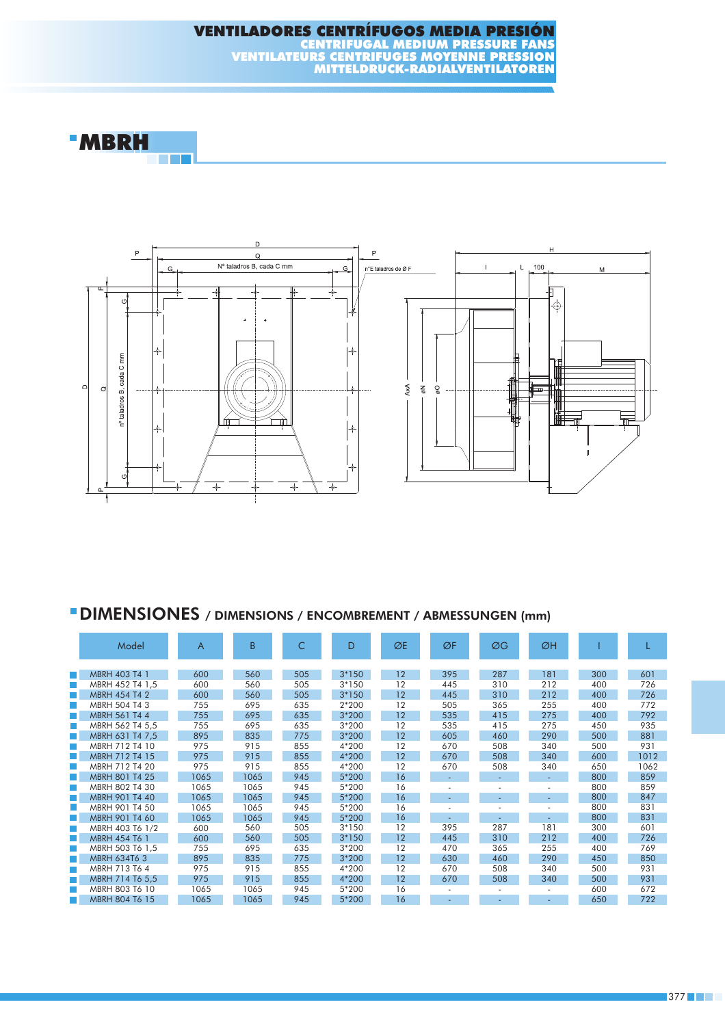VENTILADORES CENTRÍFUGOS MEDIA PRESIÓN CENTRIFUGAL MEDIUM PRESSURE FANS VENTILATEURS CENTRIFUGES MOYENNE PRESSION MITTELDRUCK-RADIALVENTILATOREN





# DIMENSIONES / DIMENSIONS / ENCOMBREMENT / ABMESSUNGEN (mm)

|                     | Model                                   | A          | B          |            | D                  | ØE       | ØF         | ØG  | ØH         |            |            |
|---------------------|-----------------------------------------|------------|------------|------------|--------------------|----------|------------|-----|------------|------------|------------|
|                     |                                         |            |            |            |                    |          |            | 287 |            |            |            |
| H.                  | MBRH 403 T4 1                           | 600<br>600 | 560<br>560 | 505<br>505 | $3*150$<br>$3*150$ | 12<br>12 | 395<br>445 | 310 | 181<br>212 | 300<br>400 | 601<br>726 |
| <b>College</b><br>П | MBRH 452 T4 1,5<br><b>MBRH 454 T4 2</b> | 600        | 560        | 505        | $3*150$            | 12       | 445        | 310 | 212        | 400        | 726        |
|                     | MBRH 504 T4 3                           | 755        | 695        | 635        | $2*200$            | 12       | 505        | 365 | 255        | 400        | 772        |
| H.                  | MBRH 561 T4 4                           | 755        | 695        | 635        | $3*200$            | 12       | 535        | 415 | 275        | 400        | 792        |
| LУ.                 | MBRH 562 T4 5,5                         | 755        | 695        | 635        | $3*200$            | 12       | 535        | 415 | 275        | 450        | 935        |
| <b>COL</b>          | MBRH 631 T4 7,5                         | 895        | 835        | 775        | $3*200$            | 12       | 605        | 460 | 290        | 500        | 881        |
| <b>College</b>      | MBRH 712 T4 10                          | 975        | 915        | 855        | 4*200              | 12       | 670        | 508 | 340        | 500        | 931        |
| У.                  | MBRH 712 T4 15                          | 975        | 915        | 855        | 4*200              | 12       | 670        | 508 | 340        | 600        | 1012       |
|                     | MBRH 712 T4 20                          | 975        | 915        | 855        | 4*200              | 12       | 670        | 508 | 340        | 650        | 1062       |
| У.                  | MBRH 801 T4 25                          | 1065       | 1065       | 945        | 5*200              | 16       |            |     |            | 800        | 859        |
| a a                 | MBRH 802 T4 30                          | 1065       | 1065       | 945        | 5*200              | 16       |            |     |            | 800        | 859        |
| M                   | MBRH 901 T4 40                          | 1065       | 1065       | 945        | 5*200              | 16       |            |     |            | 800        | 847        |
| <b>College</b>      | MBRH 901 T4 50                          | 1065       | 1065       | 945        | 5*200              | 16       |            |     |            | 800        | 831        |
| <b>COL</b>          | MBRH 901 T4 60                          | 1065       | 1065       | 945        | $5*200$            | 16       |            |     |            | 800        | 831        |
| <b>College</b>      | MBRH 403 T6 1/2                         | 600        | 560        | 505        | $3*150$            | 12       | 395        | 287 | 181        | 300        | 601        |
| <b>COL</b>          | MBRH 454 T6 1                           | 600        | 560        | 505        | $3*150$            | 12       | 445        | 310 | 212        | 400        | 726        |
| <b>College</b>      | MBRH 503 T6 1,5                         | 755        | 695        | 635        | $3*200$            | 12       | 470        | 365 | 255        | 400        | 769        |
| <b>COL</b>          | <b>MBRH 634T63</b>                      | 895        | 835        | 775        | $3*200$            | 12       | 630        | 460 | 290        | 450        | 850        |
| <b>College</b>      | MBRH 713 T6 4                           | 975        | 915        | 855        | 4*200              | 12       | 670        | 508 | 340        | 500        | 931        |
| H.                  | MBRH 714 T6 5,5                         | 975        | 915        | 855        | 4*200              | 12       | 670        | 508 | 340        | 500        | 931        |
| in 1                | MBRH 803 T6 10                          | 1065       | 1065       | 945        | 5*200              | 16       |            |     |            | 600        | 672        |
|                     | <b>MBRH 804 T6 15</b>                   | 1065       | 1065       | 945        | $5*200$            | 16       |            |     |            | 650        | 722        |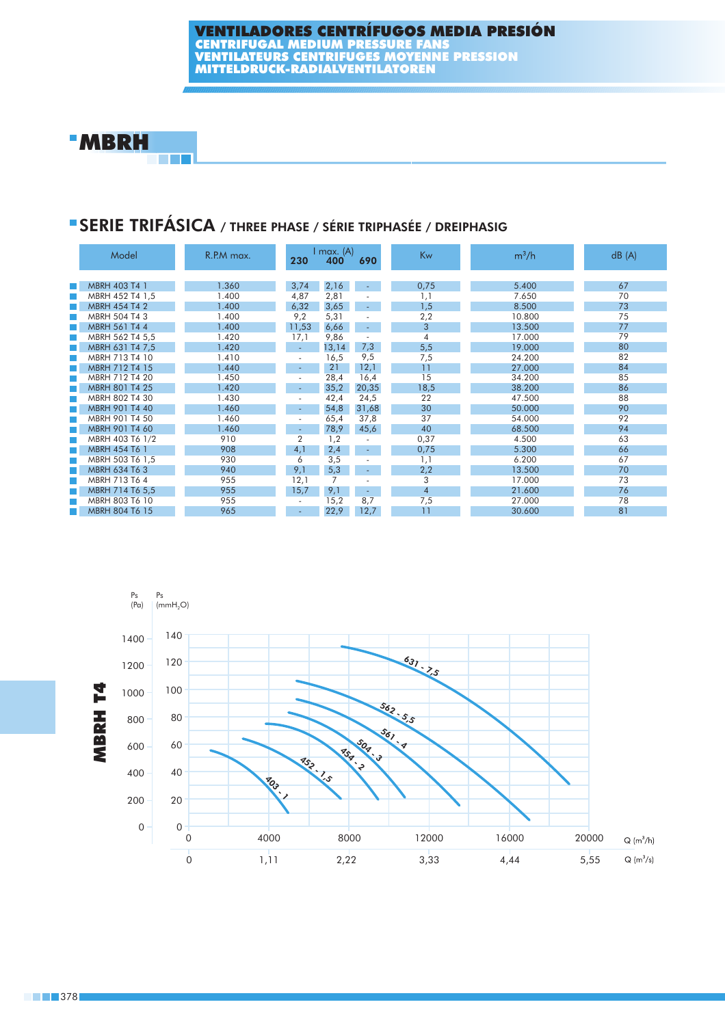# VENTILADORES CENTRÍFUGOS MEDIA PRESIÓN CENTRIFUGAL MEDIUM PRESSURE FANS VENTILATEURS CENTRIFUGES MOYENNE PRESSION MITTELDRUCK-RADIALVENTILATOREN



# SERIE TRIFÁSICA / THREE PHASE / SÉRIE TRIPHASÉE / DREIPHASIG

| Model                                                                                                                                                                                                                                                                                               | R.P.M max.                                                                                                                                 | 230                                               | l max. (A)<br>400                                                                                                          | 690                                                                       | Kw                                                                                                    | $m^3/h$                                                                                                                                                  | dB(A)                                                                                        |
|-----------------------------------------------------------------------------------------------------------------------------------------------------------------------------------------------------------------------------------------------------------------------------------------------------|--------------------------------------------------------------------------------------------------------------------------------------------|---------------------------------------------------|----------------------------------------------------------------------------------------------------------------------------|---------------------------------------------------------------------------|-------------------------------------------------------------------------------------------------------|----------------------------------------------------------------------------------------------------------------------------------------------------------|----------------------------------------------------------------------------------------------|
| MBRH 403 T4 1<br>MBRH 452 T4 1,5<br><b>MBRH 454 T4 2</b><br>MBRH 504 T4 3<br>MBRH 561 T4 4<br>MBRH 562 T4 5,5<br>MBRH 631 T4 7,5<br>MBRH 713 T4 10<br>MBRH 712 T4 15<br>MBRH 712 T4 20<br>MBRH 801 T4 25<br>MBRH 802 T4 30<br>MBRH 901 T4 40<br>MBRH 901 T4 50<br>MBRH 901 T4 60<br>MBRH 403 T6 1/2 | 1.360<br>1.400<br>1.400<br>1.400<br>1.400<br>1.420<br>1.420<br>1.410<br>1.440<br>1.450<br>1.420<br>1.430<br>1.460<br>1.460<br>1.460<br>910 | 3,74<br>4,87<br>6,32<br>9,2<br>11,53<br>17,1<br>2 | 2,16<br>2,81<br>3,65<br>5,31<br>6,66<br>9,86<br>13,14<br>16,5<br>21<br>28,4<br>35,2<br>42,4<br>54,8<br>65,4<br>78,9<br>1,2 | ٠<br>7,3<br>9,5<br>12,1<br>16,4<br>20,35<br>24,5<br>31,68<br>37,8<br>45,6 | 0,75<br>1,1<br>1,5<br>2,2<br>3<br>4<br>5,5<br>7,5<br>11<br>15<br>18,5<br>22<br>30<br>37<br>40<br>0,37 | 5.400<br>7.650<br>8.500<br>10.800<br>13.500<br>17.000<br>19.000<br>24.200<br>27,000<br>34.200<br>38.200<br>47.500<br>50.000<br>54.000<br>68.500<br>4.500 | 67<br>70<br>73<br>75<br>77<br>79<br>80<br>82<br>84<br>85<br>86<br>88<br>90<br>92<br>94<br>63 |
| <b>MBRH 454 T6 1</b><br>MBRH 503 T6 1,5<br>MBRH 634 T6 3<br>MBRH 713 T6 4<br>MBRH 714 T6 5,5<br>MBRH 803 T6 10<br>MBRH 804 T6 15                                                                                                                                                                    | 908<br>930<br>940<br>955<br>955<br>955<br>965                                                                                              | 4,1<br>6<br>9,1<br>12,1<br>15,7                   | 2,4<br>3,5<br>5,3<br>7<br>9,1<br>15,2<br>22,9                                                                              | 8,7<br>12,7                                                               | 0,75<br>1,1<br>2,2<br>3<br>$\overline{4}$<br>7,5<br>11                                                | 5.300<br>6.200<br>13.500<br>17.000<br>21.600<br>27.000<br>30.600                                                                                         | 66<br>67<br>70<br>73<br>76<br>78<br>81                                                       |